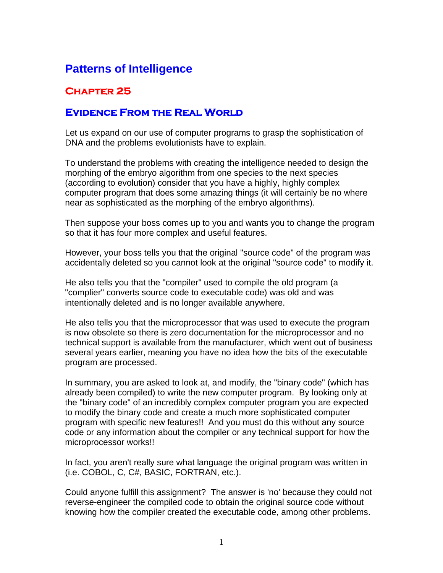## **Patterns of Intelligence**

## **Chapter 25**

## **Evidence From the Real World**

Let us expand on our use of computer programs to grasp the sophistication of DNA and the problems evolutionists have to explain.

To understand the problems with creating the intelligence needed to design the morphing of the embryo algorithm from one species to the next species (according to evolution) consider that you have a highly, highly complex computer program that does some amazing things (it will certainly be no where near as sophisticated as the morphing of the embryo algorithms).

Then suppose your boss comes up to you and wants you to change the program so that it has four more complex and useful features.

However, your boss tells you that the original "source code" of the program was accidentally deleted so you cannot look at the original "source code" to modify it.

He also tells you that the "compiler" used to compile the old program (a "complier" converts source code to executable code) was old and was intentionally deleted and is no longer available anywhere.

He also tells you that the microprocessor that was used to execute the program is now obsolete so there is zero documentation for the microprocessor and no technical support is available from the manufacturer, which went out of business several years earlier, meaning you have no idea how the bits of the executable program are processed.

In summary, you are asked to look at, and modify, the "binary code" (which has already been compiled) to write the new computer program. By looking only at the "binary code" of an incredibly complex computer program you are expected to modify the binary code and create a much more sophisticated computer program with specific new features!! And you must do this without any source code or any information about the compiler or any technical support for how the microprocessor works!!

In fact, you aren't really sure what language the original program was written in (i.e. COBOL, C, C#, BASIC, FORTRAN, etc.).

Could anyone fulfill this assignment? The answer is 'no' because they could not reverse-engineer the compiled code to obtain the original source code without knowing how the compiler created the executable code, among other problems.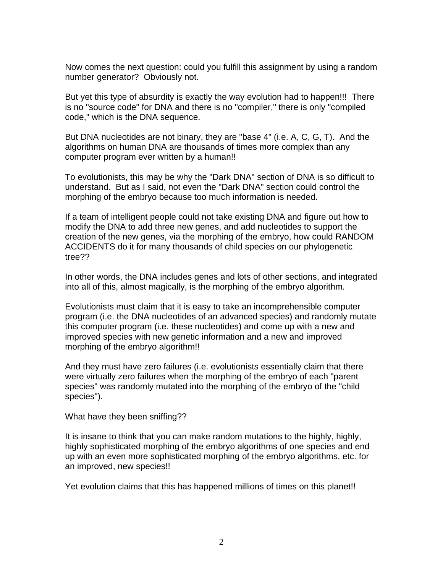Now comes the next question: could you fulfill this assignment by using a random number generator? Obviously not.

But yet this type of absurdity is exactly the way evolution had to happen!!! There is no "source code" for DNA and there is no "compiler," there is only "compiled code," which is the DNA sequence.

But DNA nucleotides are not binary, they are "base 4" (i.e. A, C, G, T). And the algorithms on human DNA are thousands of times more complex than any computer program ever written by a human!!

To evolutionists, this may be why the "Dark DNA" section of DNA is so difficult to understand. But as I said, not even the "Dark DNA" section could control the morphing of the embryo because too much information is needed.

If a team of intelligent people could not take existing DNA and figure out how to modify the DNA to add three new genes, and add nucleotides to support the creation of the new genes, via the morphing of the embryo, how could RANDOM ACCIDENTS do it for many thousands of child species on our phylogenetic tree??

In other words, the DNA includes genes and lots of other sections, and integrated into all of this, almost magically, is the morphing of the embryo algorithm.

Evolutionists must claim that it is easy to take an incomprehensible computer program (i.e. the DNA nucleotides of an advanced species) and randomly mutate this computer program (i.e. these nucleotides) and come up with a new and improved species with new genetic information and a new and improved morphing of the embryo algorithm!!

And they must have zero failures (i.e. evolutionists essentially claim that there were virtually zero failures when the morphing of the embryo of each "parent species" was randomly mutated into the morphing of the embryo of the "child species").

What have they been sniffing??

It is insane to think that you can make random mutations to the highly, highly, highly sophisticated morphing of the embryo algorithms of one species and end up with an even more sophisticated morphing of the embryo algorithms, etc. for an improved, new species!!

Yet evolution claims that this has happened millions of times on this planet!!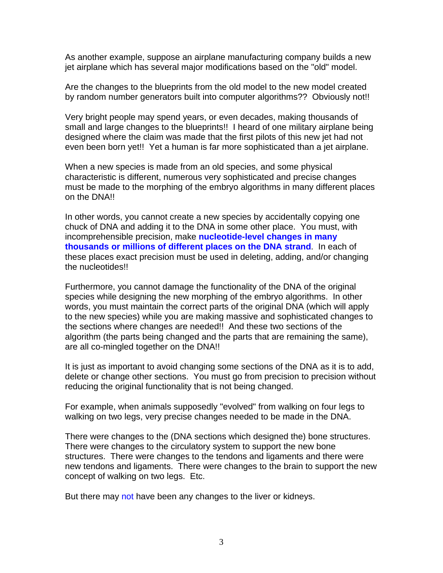As another example, suppose an airplane manufacturing company builds a new jet airplane which has several major modifications based on the "old" model.

Are the changes to the blueprints from the old model to the new model created by random number generators built into computer algorithms?? Obviously not!!

Very bright people may spend years, or even decades, making thousands of small and large changes to the blueprints!! I heard of one military airplane being designed where the claim was made that the first pilots of this new jet had not even been born yet!! Yet a human is far more sophisticated than a jet airplane.

When a new species is made from an old species, and some physical characteristic is different, numerous very sophisticated and precise changes must be made to the morphing of the embryo algorithms in many different places on the DNA!!

In other words, you cannot create a new species by accidentally copying one chuck of DNA and adding it to the DNA in some other place. You must, with incomprehensible precision, make **nucleotide-level changes in many thousands or millions of different places on the DNA strand**. In each of these places exact precision must be used in deleting, adding, and/or changing the nucleotides!!

Furthermore, you cannot damage the functionality of the DNA of the original species while designing the new morphing of the embryo algorithms. In other words, you must maintain the correct parts of the original DNA (which will apply to the new species) while you are making massive and sophisticated changes to the sections where changes are needed!! And these two sections of the algorithm (the parts being changed and the parts that are remaining the same), are all co-mingled together on the DNA!!

It is just as important to avoid changing some sections of the DNA as it is to add, delete or change other sections. You must go from precision to precision without reducing the original functionality that is not being changed.

For example, when animals supposedly "evolved" from walking on four legs to walking on two legs, very precise changes needed to be made in the DNA.

There were changes to the (DNA sections which designed the) bone structures. There were changes to the circulatory system to support the new bone structures. There were changes to the tendons and ligaments and there were new tendons and ligaments. There were changes to the brain to support the new concept of walking on two legs. Etc.

But there may not have been any changes to the liver or kidneys.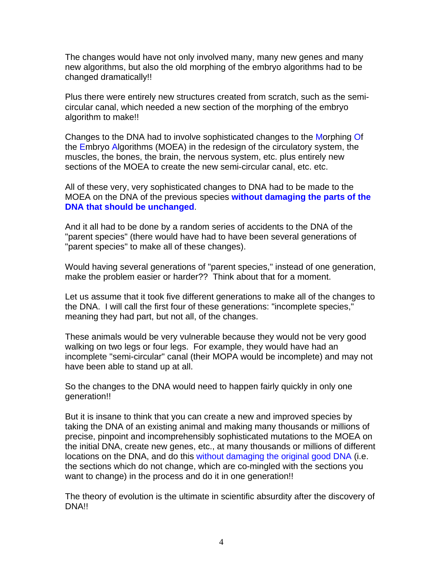The changes would have not only involved many, many new genes and many new algorithms, but also the old morphing of the embryo algorithms had to be changed dramatically!!

Plus there were entirely new structures created from scratch, such as the semicircular canal, which needed a new section of the morphing of the embryo algorithm to make!!

Changes to the DNA had to involve sophisticated changes to the Morphing Of the Embryo Algorithms (MOEA) in the redesign of the circulatory system, the muscles, the bones, the brain, the nervous system, etc. plus entirely new sections of the MOEA to create the new semi-circular canal, etc. etc.

All of these very, very sophisticated changes to DNA had to be made to the MOEA on the DNA of the previous species **without damaging the parts of the DNA that should be unchanged**.

And it all had to be done by a random series of accidents to the DNA of the "parent species" (there would have had to have been several generations of "parent species" to make all of these changes).

Would having several generations of "parent species," instead of one generation, make the problem easier or harder?? Think about that for a moment.

Let us assume that it took five different generations to make all of the changes to the DNA. I will call the first four of these generations: "incomplete species," meaning they had part, but not all, of the changes.

These animals would be very vulnerable because they would not be very good walking on two legs or four legs. For example, they would have had an incomplete "semi-circular" canal (their MOPA would be incomplete) and may not have been able to stand up at all.

So the changes to the DNA would need to happen fairly quickly in only one generation!!

But it is insane to think that you can create a new and improved species by taking the DNA of an existing animal and making many thousands or millions of precise, pinpoint and incomprehensibly sophisticated mutations to the MOEA on the initial DNA, create new genes, etc., at many thousands or millions of different locations on the DNA, and do this without damaging the original good DNA (i.e. the sections which do not change, which are co-mingled with the sections you want to change) in the process and do it in one generation!!

The theory of evolution is the ultimate in scientific absurdity after the discovery of DNA!!